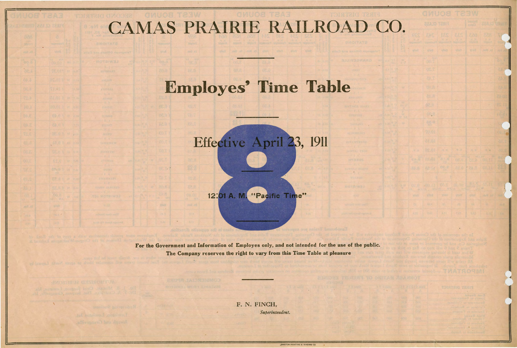## CAMAS PRAIRIE RAILROAD CO.

## **Employes' Time Table**



12:01 A. M. "Pacific Time"

For the Government and Information of Employes only, and not intended for the use of the public. The Company reserves the right to vary from this Time Table at pleasure

> F. N. FINCH, Superintendent.

> > .EWISTON PRINTING & BINDING CO.